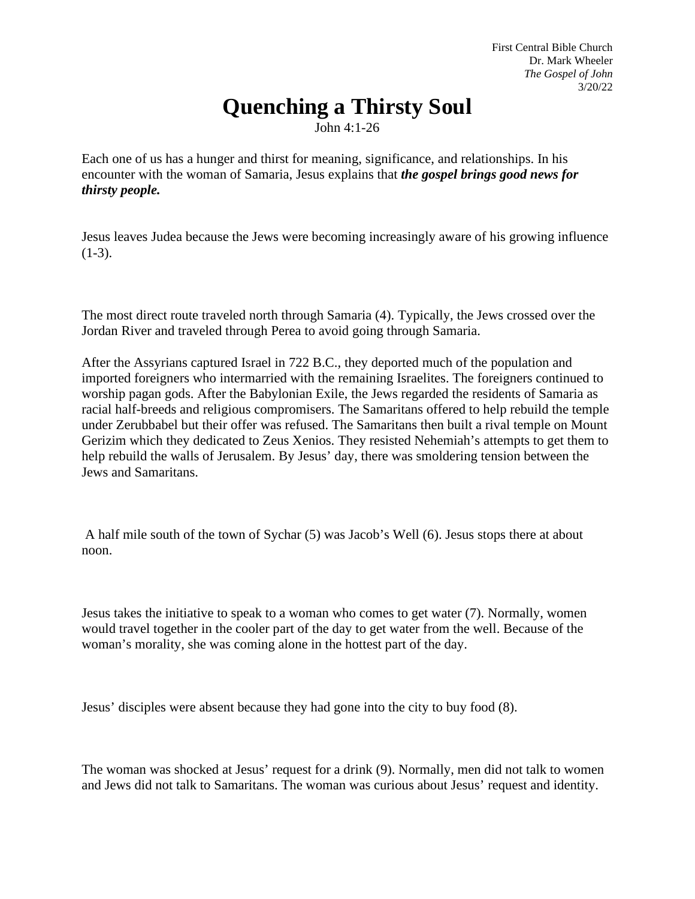First Central Bible Church Dr. Mark Wheeler *The Gospel of John* 3/20/22

## **Quenching a Thirsty Soul**

John 4:1-26

Each one of us has a hunger and thirst for meaning, significance, and relationships. In his encounter with the woman of Samaria, Jesus explains that *the gospel brings good news for thirsty people.*

Jesus leaves Judea because the Jews were becoming increasingly aware of his growing influence  $(1-3)$ .

The most direct route traveled north through Samaria (4). Typically, the Jews crossed over the Jordan River and traveled through Perea to avoid going through Samaria.

After the Assyrians captured Israel in 722 B.C., they deported much of the population and imported foreigners who intermarried with the remaining Israelites. The foreigners continued to worship pagan gods. After the Babylonian Exile, the Jews regarded the residents of Samaria as racial half-breeds and religious compromisers. The Samaritans offered to help rebuild the temple under Zerubbabel but their offer was refused. The Samaritans then built a rival temple on Mount Gerizim which they dedicated to Zeus Xenios. They resisted Nehemiah's attempts to get them to help rebuild the walls of Jerusalem. By Jesus' day, there was smoldering tension between the Jews and Samaritans.

A half mile south of the town of Sychar (5) was Jacob's Well (6). Jesus stops there at about noon.

Jesus takes the initiative to speak to a woman who comes to get water (7). Normally, women would travel together in the cooler part of the day to get water from the well. Because of the woman's morality, she was coming alone in the hottest part of the day.

Jesus' disciples were absent because they had gone into the city to buy food (8).

The woman was shocked at Jesus' request for a drink (9). Normally, men did not talk to women and Jews did not talk to Samaritans. The woman was curious about Jesus' request and identity.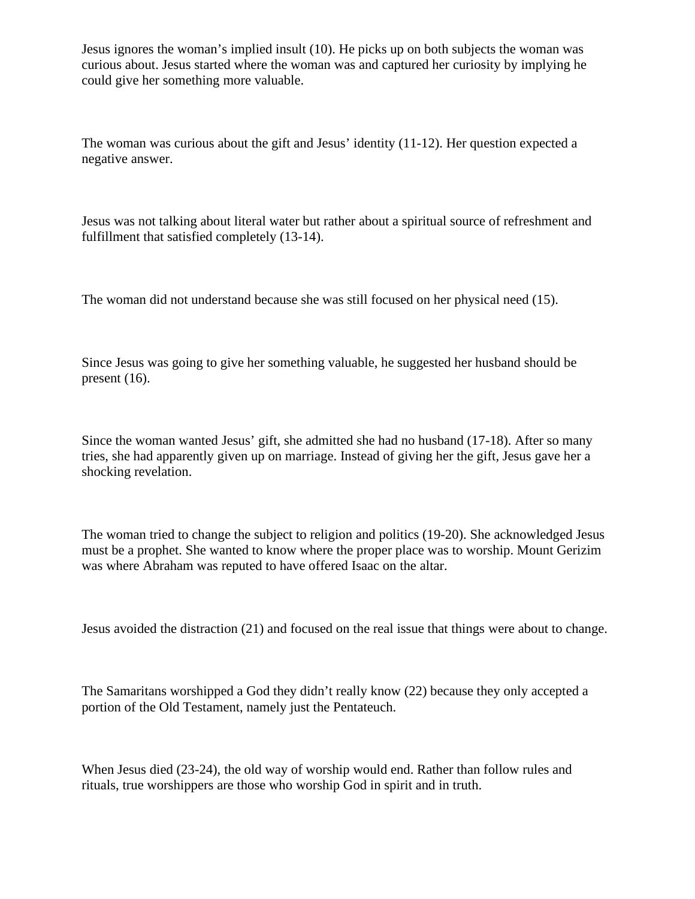Jesus ignores the woman's implied insult (10). He picks up on both subjects the woman was curious about. Jesus started where the woman was and captured her curiosity by implying he could give her something more valuable.

The woman was curious about the gift and Jesus' identity (11-12). Her question expected a negative answer.

Jesus was not talking about literal water but rather about a spiritual source of refreshment and fulfillment that satisfied completely (13-14).

The woman did not understand because she was still focused on her physical need (15).

Since Jesus was going to give her something valuable, he suggested her husband should be present (16).

Since the woman wanted Jesus' gift, she admitted she had no husband (17-18). After so many tries, she had apparently given up on marriage. Instead of giving her the gift, Jesus gave her a shocking revelation.

The woman tried to change the subject to religion and politics (19-20). She acknowledged Jesus must be a prophet. She wanted to know where the proper place was to worship. Mount Gerizim was where Abraham was reputed to have offered Isaac on the altar.

Jesus avoided the distraction (21) and focused on the real issue that things were about to change.

The Samaritans worshipped a God they didn't really know (22) because they only accepted a portion of the Old Testament, namely just the Pentateuch.

When Jesus died (23-24), the old way of worship would end. Rather than follow rules and rituals, true worshippers are those who worship God in spirit and in truth.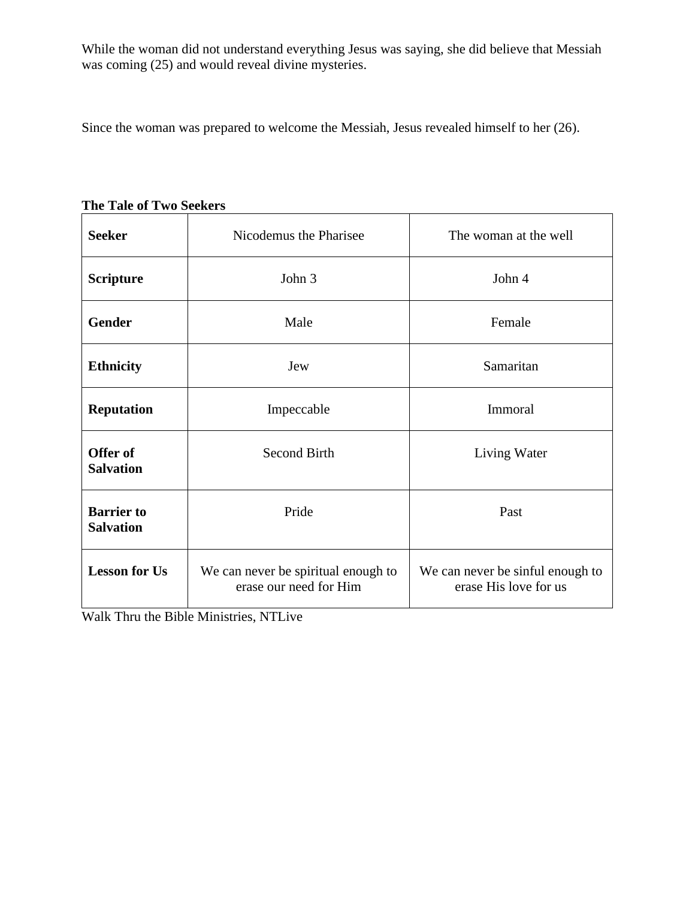While the woman did not understand everything Jesus was saying, she did believe that Messiah was coming (25) and would reveal divine mysteries.

Since the woman was prepared to welcome the Messiah, Jesus revealed himself to her (26).

| <b>Seeker</b>                         | Nicodemus the Pharisee                                        | The woman at the well                                     |
|---------------------------------------|---------------------------------------------------------------|-----------------------------------------------------------|
| <b>Scripture</b>                      | John 3                                                        | John 4                                                    |
| <b>Gender</b>                         | Male                                                          | Female                                                    |
| <b>Ethnicity</b>                      | Jew                                                           | Samaritan                                                 |
| <b>Reputation</b>                     | Impeccable                                                    | Immoral                                                   |
| Offer of<br><b>Salvation</b>          | <b>Second Birth</b>                                           | Living Water                                              |
| <b>Barrier</b> to<br><b>Salvation</b> | Pride                                                         | Past                                                      |
| <b>Lesson for Us</b>                  | We can never be spiritual enough to<br>erase our need for Him | We can never be sinful enough to<br>erase His love for us |

**The Tale of Two Seekers**

Walk Thru the Bible Ministries, NTLive